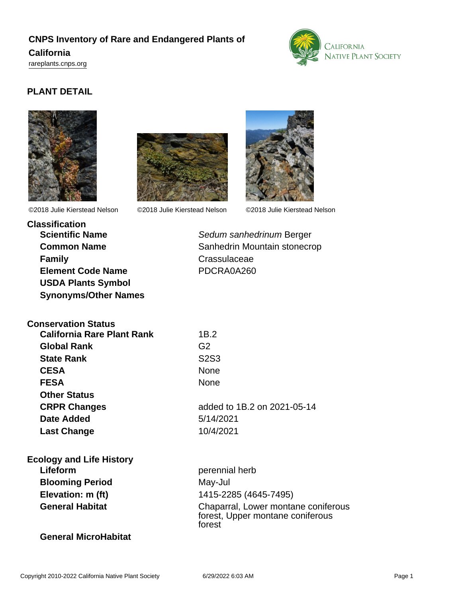# **CNPS Inventory of Rare and Endangered Plants of**

## **California**

<rareplants.cnps.org>



# **PLANT DETAIL**





©2018 Julie Kierstead Nelson ©2018 Julie Kierstead Nelson ©2018 Julie Kierstead Nelson



**Classification Family** Crassulaceae **Element Code Name** PDCRA0A260 **USDA Plants Symbol Synonyms/Other Names**

**Conservation Status**

**Scientific Name** Sedum sanhedrinum Berger **Common Name** Sanhedrin Mountain stonecrop

| California Rare Plant Rank      | 1B.2                                                                              |
|---------------------------------|-----------------------------------------------------------------------------------|
| <b>Global Rank</b>              | G <sub>2</sub>                                                                    |
| <b>State Rank</b>               | S <sub>2</sub> S <sub>3</sub>                                                     |
| <b>CESA</b>                     | None                                                                              |
| <b>FESA</b>                     | None                                                                              |
| <b>Other Status</b>             |                                                                                   |
| <b>CRPR Changes</b>             | added to 1B.2 on 2021-05-14                                                       |
| Date Added                      | 5/14/2021                                                                         |
| <b>Last Change</b>              | 10/4/2021                                                                         |
| <b>Ecology and Life History</b> |                                                                                   |
| Lifeform                        | perennial herb                                                                    |
| <b>Blooming Period</b>          | May-Jul                                                                           |
| Elevation: m (ft)               | 1415-2285 (4645-7495)                                                             |
| <b>General Habitat</b>          | Chaparral, Lower montane coniferous<br>forest, Upper montane coniferous<br>forest |

#### **General MicroHabitat**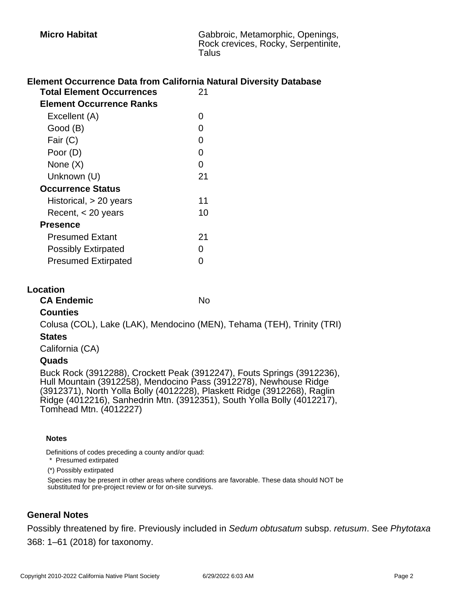### **Element Occurrence Data from California Natural Diversity Database**

| <b>Total Element Occurrences</b> | 21  |
|----------------------------------|-----|
| Element Occurrence Ranks         |     |
| Excellent (A)                    | 0   |
| Good (B)                         | ი   |
| Fair (C)                         | 0   |
| Poor (D)                         | O   |
| None $(X)$                       | O   |
| Unknown (U)                      | 21  |
| <b>Occurrence Status</b>         |     |
| Historical, > 20 years           | 11  |
| Recent, $<$ 20 years             | 10  |
| <b>Presence</b>                  |     |
| <b>Presumed Extant</b>           | 21  |
| <b>Possibly Extirpated</b>       | ( ) |
| <b>Presumed Extirpated</b>       |     |

#### **Location**

CA Endemic No.

#### **Counties**

Colusa (COL), Lake (LAK), Mendocino (MEN), Tehama (TEH), Trinity (TRI)

#### **States**

California (CA)

#### **Quads**

Buck Rock (3912288), Crockett Peak (3912247), Fouts Springs (3912236), Hull Mountain (3912258), Mendocino Pass (3912278), Newhouse Ridge (3912371), North Yolla Bolly (4012228), Plaskett Ridge (3912268), Raglin Ridge (4012216), Sanhedrin Mtn. (3912351), South Yolla Bolly (4012217), Tomhead Mtn. (4012227)

#### **Notes**

Definitions of codes preceding a county and/or quad:

\* Presumed extirpated

(\*) Possibly extirpated

Species may be present in other areas where conditions are favorable. These data should NOT be substituted for pre-project review or for on-site surveys.

## **General Notes**

Possibly threatened by fire. Previously included in Sedum obtusatum subsp. retusum. See Phytotaxa 368: 1–61 (2018) for taxonomy.